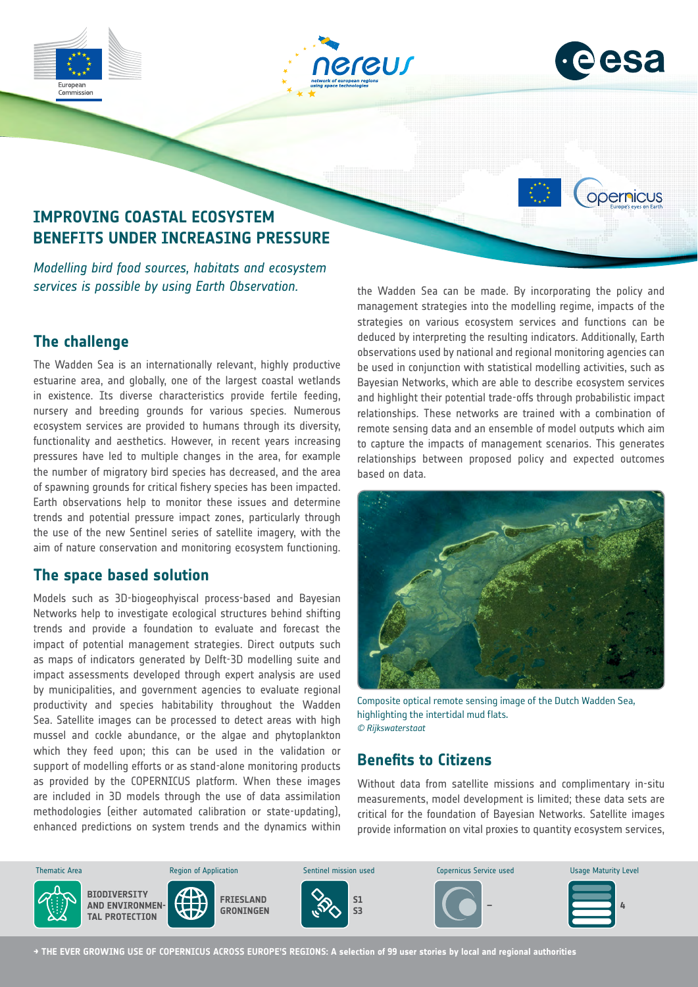

# **The challenge**

The Wadden Sea is an internationally relevant, highly productive estuarine area, and globally, one of the largest coastal wetlands in existence. Its diverse characteristics provide fertile feeding, nursery and breeding grounds for various species. Numerous ecosystem services are provided to humans through its diversity, functionality and aesthetics. However, in recent years increasing pressures have led to multiple changes in the area, for example the number of migratory bird species has decreased, and the area of spawning grounds for critical fishery species has been impacted. Earth observations help to monitor these issues and determine trends and potential pressure impact zones, particularly through the use of the new Sentinel series of satellite imagery, with the aim of nature conservation and monitoring ecosystem functioning.

## **The space based solution**

Models such as 3D-biogeophyiscal process-based and Bayesian Networks help to investigate ecological structures behind shifting trends and provide a foundation to evaluate and forecast the impact of potential management strategies. Direct outputs such as maps of indicators generated by Delft-3D modelling suite and impact assessments developed through expert analysis are used by municipalities, and government agencies to evaluate regional productivity and species habitability throughout the Wadden Sea. Satellite images can be processed to detect areas with high mussel and cockle abundance, or the algae and phytoplankton which they feed upon; this can be used in the validation or support of modelling efforts or as stand-alone monitoring products as provided by the COPERNICUS platform. When these images are included in 3D models through the use of data assimilation methodologies (either automated calibration or state-updating), enhanced predictions on system trends and the dynamics within .<br>dictions etam trande and tha

management strategies into the modelling regime, impacts of the strategies on various ecosystem services and functions can be deduced by interpreting the resulting indicators. Additionally, Earth observations used by national and regional monitoring agencies can be used in conjunction with statistical modelling activities, such as Bayesian Networks, which are able to describe ecosystem services and highlight their potential trade-offs through probabilistic impact relationships. These networks are trained with a combination of remote sensing data and an ensemble of model outputs which aim to capture the impacts of management scenarios. This generates relationships between proposed policy and expected outcomes based on data.



Composite optical remote sensing image of the Dutch Wadden Sea, highlighting the intertidal mud flats. *© Rijkswaterstaat*

# **Benefits to Citizens**

Without data from satellite missions and complimentary in-situ measurements, model development is limited; these data sets are critical for the foundation of Bayesian Networks. Satellite images provide information on vital proxies to quantity ecosystem services,



**→ THE EVER GROWING USE OF COPERNICUS ACROSS EUROPE'S REGIONS: A selection of 99 user stories by local and regional authorities**